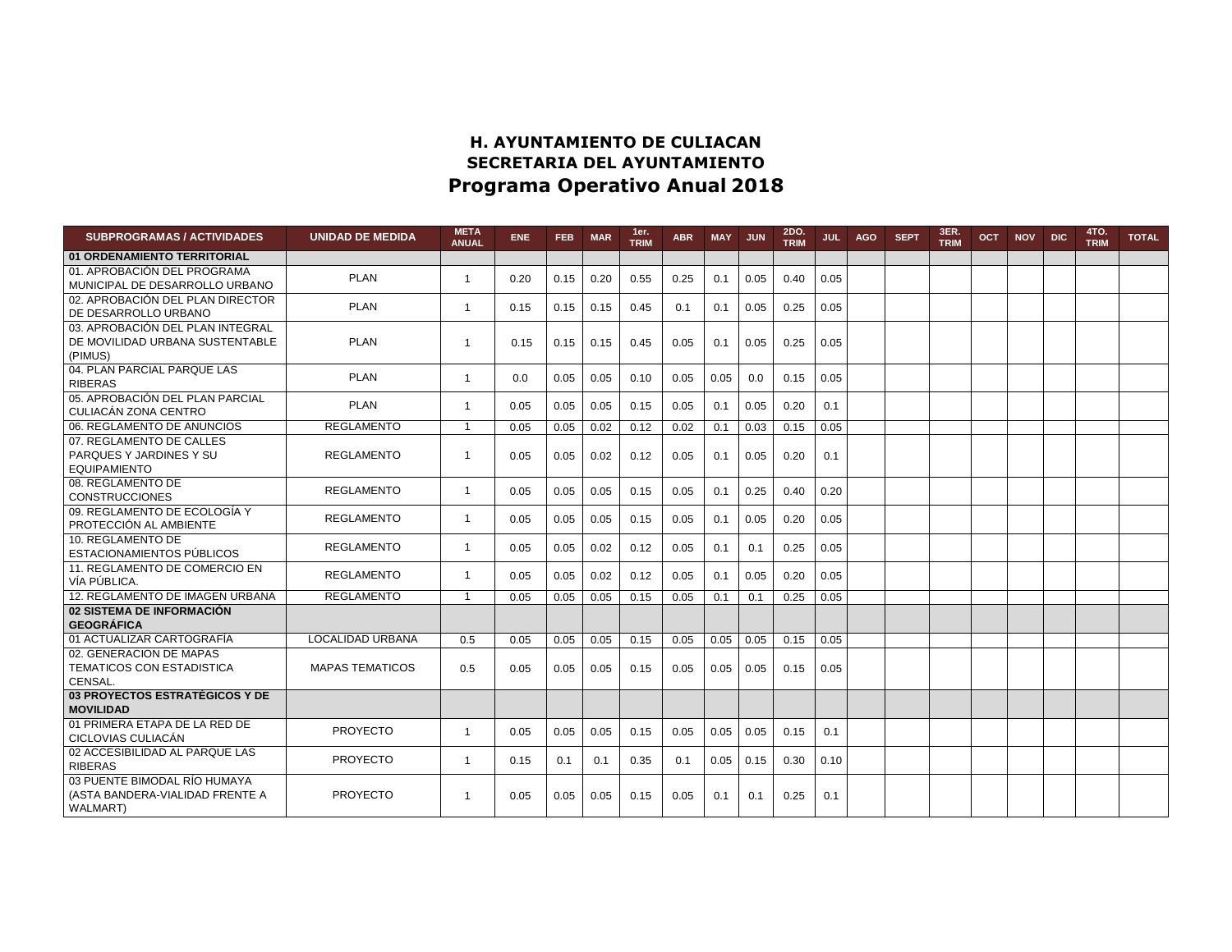## **H. AYUNTAMIENTO DE CULIACAN SECRETARIA DEL AYUNTAMIENTO Programa Operativo Anual 2018**

| <b>SUBPROGRAMAS / ACTIVIDADES</b>                                                  | <b>UNIDAD DE MEDIDA</b> | <b>META</b><br><b>ANUAL</b> | <b>ENE</b> | <b>FEB</b> | <b>MAR</b> | 1er.<br><b>TRIM</b> | <b>ABR</b> | <b>MAY</b> | <b>JUN</b> | 2DO.<br><b>TRIM</b> | JUL  | <b>AGO</b> | <b>SEPT</b> | 3ER.<br><b>TRIM</b> | <b>OCT</b> | <b>NOV</b> | <b>DIC</b> | 4TO.<br><b>TRIM</b> | <b>TOTAL</b> |
|------------------------------------------------------------------------------------|-------------------------|-----------------------------|------------|------------|------------|---------------------|------------|------------|------------|---------------------|------|------------|-------------|---------------------|------------|------------|------------|---------------------|--------------|
| 01 ORDENAMIENTO TERRITORIAL                                                        |                         |                             |            |            |            |                     |            |            |            |                     |      |            |             |                     |            |            |            |                     |              |
| 01. APROBACIÓN DEL PROGRAMA<br>MUNICIPAL DE DESARROLLO URBANO                      | <b>PLAN</b>             | 1                           | 0.20       | 0.15       | 0.20       | 0.55                | 0.25       | 0.1        | 0.05       | 0.40                | 0.05 |            |             |                     |            |            |            |                     |              |
| 02. APROBACIÓN DEL PLAN DIRECTOR<br>DE DESARROLLO URBANO                           | <b>PLAN</b>             | $\mathbf{1}$                | 0.15       | 0.15       | 0.15       | 0.45                | 0.1        | 0.1        | 0.05       | 0.25                | 0.05 |            |             |                     |            |            |            |                     |              |
| 03. APROBACIÓN DEL PLAN INTEGRAL<br>DE MOVILIDAD URBANA SUSTENTABLE<br>(PIMUS)     | <b>PLAN</b>             | 1                           | 0.15       | 0.15       | 0.15       | 0.45                | 0.05       | 0.1        | 0.05       | 0.25                | 0.05 |            |             |                     |            |            |            |                     |              |
| 04. PLAN PARCIAL PARQUE LAS<br><b>RIBERAS</b>                                      | <b>PLAN</b>             | $\mathbf{1}$                | 0.0        | 0.05       | 0.05       | 0.10                | 0.05       | 0.05       | 0.0        | 0.15                | 0.05 |            |             |                     |            |            |            |                     |              |
| 05. APROBACIÓN DEL PLAN PARCIAL<br>CULIACÁN ZONA CENTRO                            | <b>PLAN</b>             | 1                           | 0.05       | 0.05       | 0.05       | 0.15                | 0.05       | 0.1        | 0.05       | 0.20                | 0.1  |            |             |                     |            |            |            |                     |              |
| 06. REGLAMENTO DE ANUNCIOS                                                         | <b>REGLAMENTO</b>       | 1                           | 0.05       | 0.05       | 0.02       | 0.12                | 0.02       | 0.1        | 0.03       | 0.15                | 0.05 |            |             |                     |            |            |            |                     |              |
| 07. REGLAMENTO DE CALLES<br>PARQUES Y JARDINES Y SU<br><b>EQUIPAMIENTO</b>         | <b>REGLAMENTO</b>       | 1                           | 0.05       | 0.05       | 0.02       | 0.12                | 0.05       | 0.1        | 0.05       | 0.20                | 0.1  |            |             |                     |            |            |            |                     |              |
| 08. REGLAMENTO DE<br><b>CONSTRUCCIONES</b>                                         | <b>REGLAMENTO</b>       | 1                           | 0.05       | 0.05       | 0.05       | 0.15                | 0.05       | 0.1        | 0.25       | 0.40                | 0.20 |            |             |                     |            |            |            |                     |              |
| 09. REGLAMENTO DE ECOLOGÍA Y<br>PROTECCIÓN AL AMBIENTE                             | <b>REGLAMENTO</b>       | 1                           | 0.05       | 0.05       | 0.05       | 0.15                | 0.05       | 0.1        | 0.05       | 0.20                | 0.05 |            |             |                     |            |            |            |                     |              |
| 10. REGLAMENTO DE<br>ESTACIONAMIENTOS PÚBLICOS                                     | <b>REGLAMENTO</b>       | $\mathbf{1}$                | 0.05       | 0.05       | 0.02       | 0.12                | 0.05       | 0.1        | 0.1        | 0.25                | 0.05 |            |             |                     |            |            |            |                     |              |
| 11. REGLAMENTO DE COMERCIO EN<br>VÍA PÚBLICA.                                      | <b>REGLAMENTO</b>       | 1                           | 0.05       | 0.05       | 0.02       | 0.12                | 0.05       | 0.1        | 0.05       | 0.20                | 0.05 |            |             |                     |            |            |            |                     |              |
| 12. REGLAMENTO DE IMAGEN URBANA                                                    | <b>REGLAMENTO</b>       | $\mathbf{1}$                | 0.05       | 0.05       | 0.05       | 0.15                | 0.05       | 0.1        | 0.1        | 0.25                | 0.05 |            |             |                     |            |            |            |                     |              |
| 02 SISTEMA DE INFORMACIÓN<br><b>GEOGRÁFICA</b>                                     |                         |                             |            |            |            |                     |            |            |            |                     |      |            |             |                     |            |            |            |                     |              |
| 01 ACTUALIZAR CARTOGRAFÍA                                                          | LOCALIDAD URBANA        | 0.5                         | 0.05       | 0.05       | 0.05       | 0.15                | 0.05       | 0.05       | 0.05       | 0.15                | 0.05 |            |             |                     |            |            |            |                     |              |
| 02. GENERACION DE MAPAS<br>TEMATICOS CON ESTADISTICA<br>CENSAL.                    | <b>MAPAS TEMATICOS</b>  | 0.5                         | 0.05       | 0.05       | 0.05       | 0.15                | 0.05       | 0.05       | 0.05       | 0.15                | 0.05 |            |             |                     |            |            |            |                     |              |
| 03 PROYECTOS ESTRATÉGICOS Y DE<br><b>MOVILIDAD</b>                                 |                         |                             |            |            |            |                     |            |            |            |                     |      |            |             |                     |            |            |            |                     |              |
| 01 PRIMERA ETAPA DE LA RED DE<br>CICLOVIAS CULIACÁN                                | <b>PROYECTO</b>         | 1                           | 0.05       | 0.05       | 0.05       | 0.15                | 0.05       | 0.05       | 0.05       | 0.15                | 0.1  |            |             |                     |            |            |            |                     |              |
| 02 ACCESIBILIDAD AL PARQUE LAS<br><b>RIBERAS</b>                                   | <b>PROYECTO</b>         | 1                           | 0.15       | 0.1        | 0.1        | 0.35                | 0.1        | 0.05       | 0.15       | 0.30                | 0.10 |            |             |                     |            |            |            |                     |              |
| 03 PUENTE BIMODAL RÍO HUMAYA<br>(ASTA BANDERA-VIALIDAD FRENTE A<br><b>WALMART)</b> | <b>PROYECTO</b>         | -1                          | 0.05       | 0.05       | 0.05       | 0.15                | 0.05       | 0.1        | 0.1        | 0.25                | 0.1  |            |             |                     |            |            |            |                     |              |